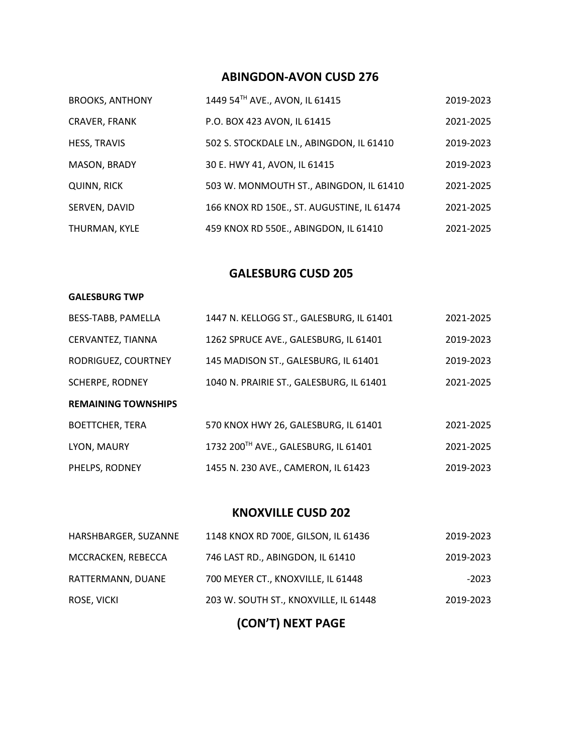## **ABINGDON-AVON CUSD 276**

| <b>BROOKS, ANTHONY</b> | 1449 54TH AVE., AVON, IL 61415             | 2019-2023 |
|------------------------|--------------------------------------------|-----------|
| <b>CRAVER, FRANK</b>   | P.O. BOX 423 AVON, IL 61415                | 2021-2025 |
| <b>HESS, TRAVIS</b>    | 502 S. STOCKDALE LN., ABINGDON, IL 61410   | 2019-2023 |
| MASON, BRADY           | 30 E. HWY 41, AVON, IL 61415               | 2019-2023 |
| <b>QUINN, RICK</b>     | 503 W. MONMOUTH ST., ABINGDON, IL 61410    | 2021-2025 |
| SERVEN, DAVID          | 166 KNOX RD 150E., ST. AUGUSTINE, IL 61474 | 2021-2025 |
| THURMAN, KYLE          | 459 KNOX RD 550E., ABINGDON, IL 61410      | 2021-2025 |

### **GALESBURG CUSD 205**

#### **GALESBURG TWP**

| BESS-TABB, PAMELLA         | 1447 N. KELLOGG ST., GALESBURG, IL 61401 | 2021-2025 |
|----------------------------|------------------------------------------|-----------|
| CERVANTEZ, TIANNA          | 1262 SPRUCE AVE., GALESBURG, IL 61401    | 2019-2023 |
| RODRIGUEZ, COURTNEY        | 145 MADISON ST., GALESBURG, IL 61401     | 2019-2023 |
| <b>SCHERPE, RODNEY</b>     | 1040 N. PRAIRIE ST., GALESBURG, IL 61401 | 2021-2025 |
| <b>REMAINING TOWNSHIPS</b> |                                          |           |
|                            |                                          |           |
| <b>BOETTCHER, TERA</b>     | 570 KNOX HWY 26, GALESBURG, IL 61401     | 2021-2025 |
| LYON, MAURY                | 1732 200TH AVE., GALESBURG, IL 61401     | 2021-2025 |

### **KNOXVILLE CUSD 202**

| HARSHBARGER, SUZANNE | 1148 KNOX RD 700E, GILSON, IL 61436   | 2019-2023 |
|----------------------|---------------------------------------|-----------|
| MCCRACKEN, REBECCA   | 746 LAST RD., ABINGDON, IL 61410      | 2019-2023 |
| RATTERMANN, DUANE    | 700 MEYER CT., KNOXVILLE, IL 61448    | $-2023$   |
| ROSE, VICKI          | 203 W. SOUTH ST., KNOXVILLE, IL 61448 | 2019-2023 |
|                      |                                       |           |

**(CON'T) NEXT PAGE**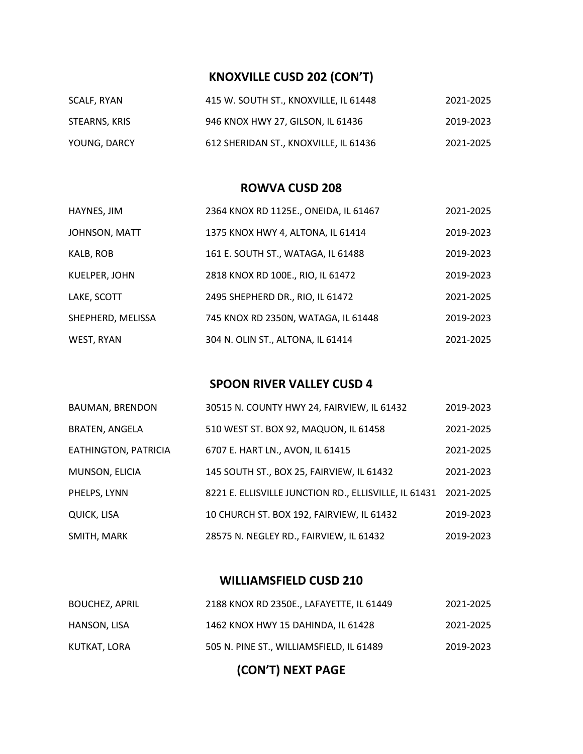## **KNOXVILLE CUSD 202 (CON'T)**

| SCALF, RYAN   | 415 W. SOUTH ST., KNOXVILLE, IL 61448 | 2021-2025 |
|---------------|---------------------------------------|-----------|
| STEARNS, KRIS | 946 KNOX HWY 27, GILSON, IL 61436     | 2019-2023 |
| YOUNG, DARCY  | 612 SHERIDAN ST., KNOXVILLE, IL 61436 | 2021-2025 |

#### **ROWVA CUSD 208**

| HAYNES, JIM       | 2364 KNOX RD 1125E., ONEIDA, IL 61467 | 2021-2025 |
|-------------------|---------------------------------------|-----------|
| JOHNSON, MATT     | 1375 KNOX HWY 4, ALTONA, IL 61414     | 2019-2023 |
| KALB, ROB         | 161 E. SOUTH ST., WATAGA, IL 61488    | 2019-2023 |
| KUELPER, JOHN     | 2818 KNOX RD 100E., RIO, IL 61472     | 2019-2023 |
| LAKE, SCOTT       | 2495 SHEPHERD DR., RIO, IL 61472      | 2021-2025 |
| SHEPHERD, MELISSA | 745 KNOX RD 2350N, WATAGA, IL 61448   | 2019-2023 |
| WEST, RYAN        | 304 N. OLIN ST., ALTONA, IL 61414     | 2021-2025 |

## **SPOON RIVER VALLEY CUSD 4**

| <b>BAUMAN, BRENDON</b> | 30515 N. COUNTY HWY 24, FAIRVIEW, IL 61432            | 2019-2023 |
|------------------------|-------------------------------------------------------|-----------|
| <b>BRATEN, ANGELA</b>  | 510 WEST ST. BOX 92, MAQUON, IL 61458                 | 2021-2025 |
| EATHINGTON, PATRICIA   | 6707 E. HART LN., AVON, IL 61415                      | 2021-2025 |
| MUNSON, ELICIA         | 145 SOUTH ST., BOX 25, FAIRVIEW, IL 61432             | 2021-2023 |
| PHELPS, LYNN           | 8221 E. ELLISVILLE JUNCTION RD., ELLISVILLE, IL 61431 | 2021-2025 |
| QUICK, LISA            | 10 CHURCH ST. BOX 192, FAIRVIEW, IL 61432             | 2019-2023 |
| SMITH, MARK            | 28575 N. NEGLEY RD., FAIRVIEW, IL 61432               | 2019-2023 |

## **WILLIAMSFIELD CUSD 210**

| <b>BOUCHEZ, APRIL</b> | 2188 KNOX RD 2350E LAFAYETTE. IL 61449   | 2021-2025 |
|-----------------------|------------------------------------------|-----------|
| HANSON, LISA          | 1462 KNOX HWY 15 DAHINDA. IL 61428       | 2021-2025 |
| KUTKAT, LORA          | 505 N. PINE ST., WILLIAMSFIELD, IL 61489 | 2019-2023 |

# **(CON'T) NEXT PAGE**